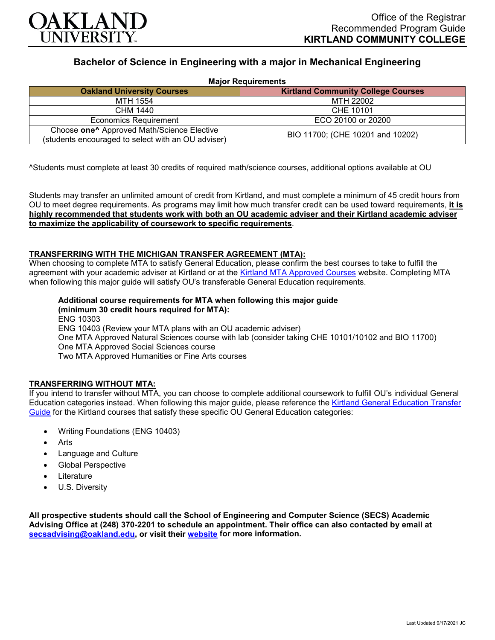

# **Bachelor of Science in Engineering with a major in Mechanical Engineering**

| <b>Major Requirements</b>                                                                                    |                                           |
|--------------------------------------------------------------------------------------------------------------|-------------------------------------------|
| <b>Oakland University Courses</b>                                                                            | <b>Kirtland Community College Courses</b> |
| MTH 1554                                                                                                     | MTH 22002                                 |
| CHM 1440                                                                                                     | CHE 10101                                 |
| <b>Economics Requirement</b>                                                                                 | ECO 20100 or 20200                        |
| Choose one <sup>^</sup> Approved Math/Science Elective<br>(students encouraged to select with an OU adviser) | BIO 11700; (CHE 10201 and 10202)          |

^Students must complete at least 30 credits of required math/science courses, additional options available at OU

Students may transfer an unlimited amount of credit from Kirtland, and must complete a minimum of 45 credit hours from OU to meet degree requirements. As programs may limit how much transfer credit can be used toward requirements, **it is highly recommended that students work with both an OU academic adviser and their Kirtland academic adviser to maximize the applicability of coursework to specific requirements**.

### **TRANSFERRING WITH THE MICHIGAN TRANSFER AGREEMENT (MTA):**

When choosing to complete MTA to satisfy General Education, please confirm the best courses to take to fulfill the agreement with your academic adviser at Kirtland or at the [Kirtland MTA Approved Courses](https://www.kirtland.edu/registrar/michigan-transfer-agreement) website. Completing MTA when following this major guide will satisfy OU's transferable General Education requirements.

**Additional course requirements for MTA when following this major guide (minimum 30 credit hours required for MTA):** ENG 10303

ENG 10403 (Review your MTA plans with an OU academic adviser) One MTA Approved Natural Sciences course with lab (consider taking CHE 10101/10102 and BIO 11700) One MTA Approved Social Sciences course

Two MTA Approved Humanities or Fine Arts courses

### **TRANSFERRING WITHOUT MTA:**

If you intend to transfer without MTA, you can choose to complete additional coursework to fulfill OU's individual General Education categories instead. When following this major guide, please reference the [Kirtland General Education Transfer](https://www.oakland.edu/Assets/Oakland/program-guides/kirtland-community-college/university-general-education-requirements/Kirtland%20Gen%20Ed.pdf)  [Guide](https://www.oakland.edu/Assets/Oakland/program-guides/kirtland-community-college/university-general-education-requirements/Kirtland%20Gen%20Ed.pdf) for the Kirtland courses that satisfy these specific OU General Education categories:

- Writing Foundations (ENG 10403)
- Arts
- Language and Culture
- Global Perspective
- **Literature**
- U.S. Diversity

**All prospective students should call the School of Engineering and Computer Science (SECS) Academic Advising Office at (248) 370-2201 to schedule an appointment. Their office can also contacted by email at [secsadvising@oakland.edu,](mailto:secsadvising@oakland.edu) or visit their [website](https://wwwp.oakland.edu/secs/advising/) for more information.**